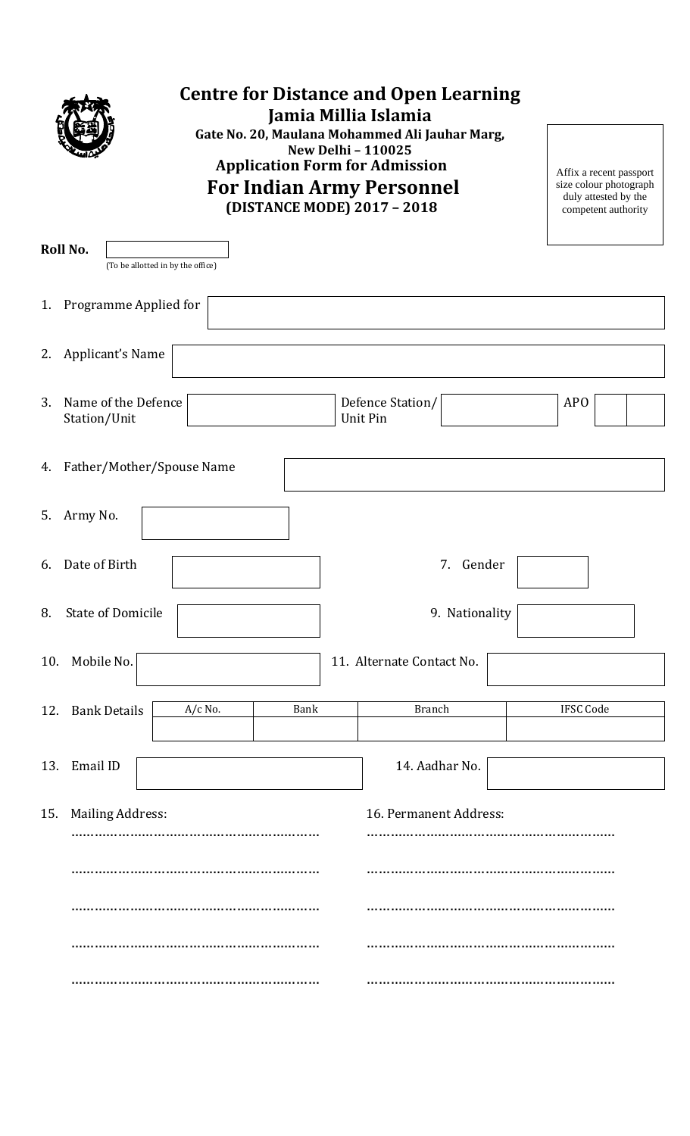

## **Centre for Distance and Open Learning Jamia Millia Islamia Gate No. 20, Maulana Mohammed Ali Jauhar Marg, New Delhi – 110025 Application Form for Admission For Indian Army Personnel**

**(DISTANCE MODE) 2017 – 2018**

Affix a recent passport size colour photograph duly attested by the competent authority

|     | Roll No.<br>(To be allotted in by the office) |  |                              |  |                  |  |  |
|-----|-----------------------------------------------|--|------------------------------|--|------------------|--|--|
|     | 1. Programme Applied for                      |  |                              |  |                  |  |  |
| 2.  | Applicant's Name                              |  |                              |  |                  |  |  |
| 3.  | Name of the Defence<br>Station/Unit           |  | Defence Station/<br>Unit Pin |  | <b>APO</b>       |  |  |
|     | 4. Father/Mother/Spouse Name                  |  |                              |  |                  |  |  |
|     | 5. Army No.                                   |  |                              |  |                  |  |  |
| 6.  | Date of Birth                                 |  | Gender<br>7.                 |  |                  |  |  |
| 8.  | <b>State of Domicile</b>                      |  | 9. Nationality               |  |                  |  |  |
| 10. | Mobile No.                                    |  | 11. Alternate Contact No.    |  |                  |  |  |
| 12. | $A/c$ No.<br>Bank<br><b>Bank Details</b>      |  | <b>Branch</b>                |  | <b>IFSC Code</b> |  |  |
|     | 13. Email ID                                  |  | 14. Aadhar No.               |  |                  |  |  |
| 15. | <b>Mailing Address:</b>                       |  | 16. Permanent Address:       |  |                  |  |  |
|     |                                               |  |                              |  |                  |  |  |
|     |                                               |  |                              |  |                  |  |  |
|     |                                               |  |                              |  |                  |  |  |
|     |                                               |  |                              |  |                  |  |  |